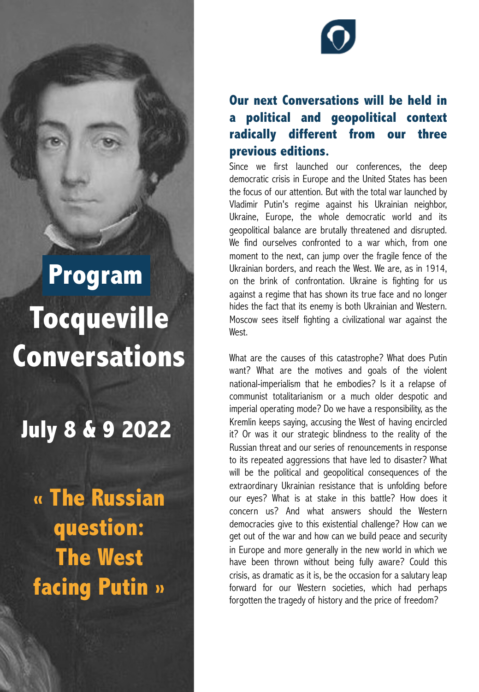# **Tocqueville Conversations Program**

**July 8 & 9 2022**

**« The Russian question: The West facing Putin »** 



#### **Our next Conversations will be held in a political and geopolitical context radically different from our three previous editions.**

Since we first launched our conferences, the deep democratic crisis in Europe and the United States has been the focus of our attention. But with the total war launched by Vladimir Putin's regime against his Ukrainian neighbor, Ukraine, Europe, the whole democratic world and its geopolitical balance are brutally threatened and disrupted. We find ourselves confronted to a war which, from one moment to the next, can jump over the fragile fence of the Ukrainian borders, and reach the West. We are, as in 1914, on the brink of confrontation. Ukraine is fighting for us against a regime that has shown its true face and no longer hides the fact that its enemy is both Ukrainian and Western. Moscow sees itself fighting a civilizational war against the West.

What are the causes of this catastrophe? What does Putin want? What are the motives and goals of the violent national-imperialism that he embodies? Is it a relapse of communist totalitarianism or a much older despotic and imperial operating mode? Do we have a responsibility, as the Kremlin keeps saying, accusing the West of having encircled it? Or was it our strategic blindness to the reality of the Russian threat and our series of renouncements in response to its repeated aggressions that have led to disaster? What will be the political and geopolitical consequences of the extraordinary Ukrainian resistance that is unfolding before our eyes? What is at stake in this battle? How does it concern us? And what answers should the Western democracies give to this existential challenge? How can we get out of the war and how can we build peace and security in Europe and more generally in the new world in which we have been thrown without being fully aware? Could this crisis, as dramatic as it is, be the occasion for a salutary leap forward for our Western societies, which had perhaps forgotten the tragedy of history and the price of freedom?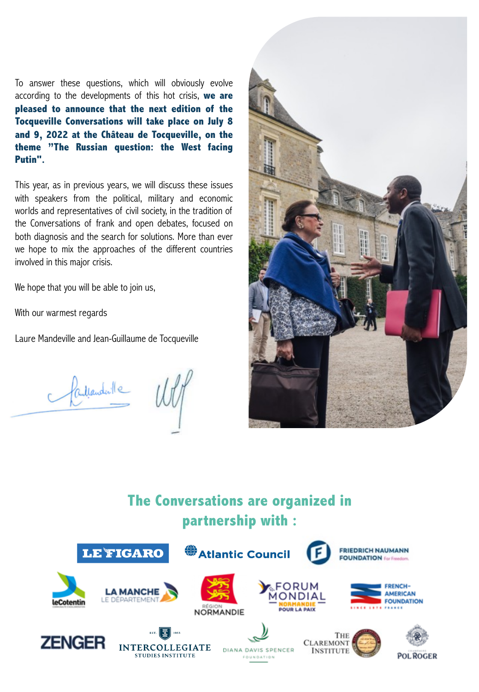To answer these questions, which will obviously evolve according to the developments of this hot crisis, **we are pleased to announce that the next edition of the Tocqueville Conversations will take place on July 8 and 9, 2022 at the Château de Tocqueville, on the theme "The Russian question: the West facing Putin".**

This year, as in previous years, we will discuss these issues with speakers from the political, military and economic worlds and representatives of civil society, in the tradition of the Conversations of frank and open debates, focused on both diagnosis and the search for solutions. More than ever we hope to mix the approaches of the different countries involved in this major crisis.

We hope that you will be able to join us,

With our warmest regards

Laure Mandeville and Jean-Guillaume de Tocqueville

Charlemante WV

### **The Conversations are organized in partnership with :**

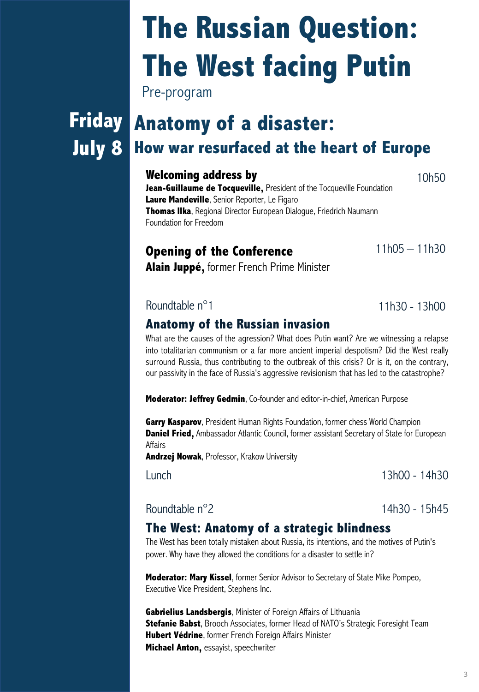3

# **The Russian Question: The West facing Putin**

Pre-program

# **July 8**

# **Friday Anatomy of a disaster: How war resurfaced at the heart of Europe**

#### **Welcoming address by**

**Jean-Guillaume de Tocqueville,** President of the Tocqueville Foundation **Laure Mandeville**, Senior Reporter, Le Figaro **Thomas Ilka**, Regional Director European Dialogue, Friedrich Naumann Foundation for Freedom

#### **Opening of the Conference**

**Alain Juppé,** former French Prime Minister

**Anatomy of the Russian invasion** What are the causes of the agression? What does Putin want? Are we witnessing a relapse

into totalitarian communism or a far more ancient imperial despotism? Did the West really surround Russia, thus contributing to the outbreak of this crisis? Or is it, on the contrary, our passivity in the face of Russia's aggressive revisionism that has led to the catastrophe?

**Moderator: Jeffrey Gedmin**, Co-founder and editor-in-chief, American Purpose

**Garry Kasparov**, President Human Rights Foundation, former chess World Champion **Daniel Fried,** Ambassador Atlantic Council, former assistant Secretary of State for European Affairs

**Andrzej Nowak**, Professor, Krakow University

#### Roundtable n°2 14h30 - 15h45

### **The West: Anatomy of a strategic blindness**

The West has been totally mistaken about Russia, its intentions, and the motives of Putin's power. Why have they allowed the conditions for a disaster to settle in?

**Moderator: Mary Kissel**, former Senior Advisor to Secretary of State Mike Pompeo, Executive Vice President, Stephens Inc.

**Gabrielius Landsbergis**, Minister of Foreign Affairs of Lithuania **Stefanie Babst**, Brooch Associates, former Head of NATO's Strategic Foresight Team **Hubert Védrine**, former French Foreign Affairs Minister **Michael Anton,** essayist, speechwriter

Lunch 13h00 - 14h30

 $11h05 - 11h30$ 

10h50

Roundtable n°1 11h30 - 13h00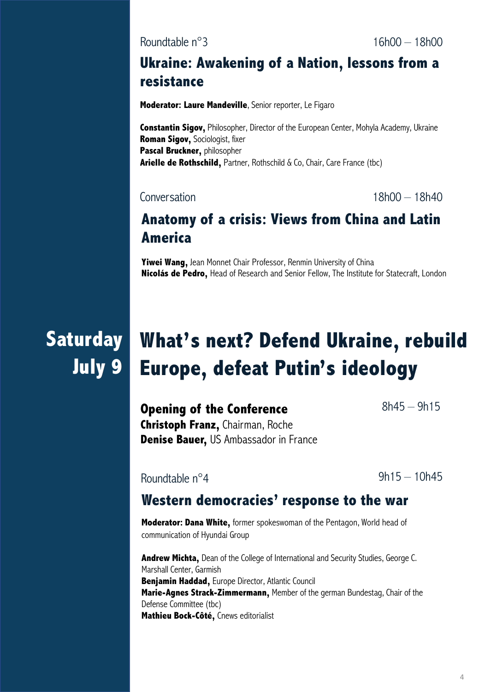#### **Ukraine: Awakening of a Nation, lessons from a resistance**

**Moderator: Laure Mandeville**, Senior reporter, Le Figaro

**Constantin Sigov,** Philosopher, Director of the European Center, Mohyla Academy, Ukraine **Roman Sigov,** Sociologist, fixer **Pascal Bruckner,** philosopher **Arielle de Rothschild,** Partner, Rothschild & Co, Chair, Care France (tbc)

Conversation 18h00 – 18h40

#### **Anatomy of a crisis: Views from China and Latin America**

**Yiwei Wang,** Jean Monnet Chair Professor, Renmin University of China **Nicolás de Pedro,** Head of Research and Senior Fellow, The Institute for Statecraft, London

# **Saturday What's next? Defend Ukraine, rebuild July 9 Europe, defeat Putin's ideology**

**Opening of the Conference Christoph Franz,** Chairman, Roche **Denise Bauer,** US Ambassador in France

Roundtable n°4

 $9h15 - 10h45$ 

8h45 – 9h15

#### **Western democracies' response to the war**

**Moderator: Dana White,** former spokeswoman of the Pentagon, World head of communication of Hyundai Group

**Andrew Michta,** Dean of the College of International and Security Studies, George C. Marshall Center, Garmish **Benjamin Haddad,** Europe Director, Atlantic Council **Marie-Agnes Strack-Zimmermann,** Member of the german Bundestag, Chair of the Defense Committee (tbc) **Mathieu Bock-Côté,** Cnews editorialist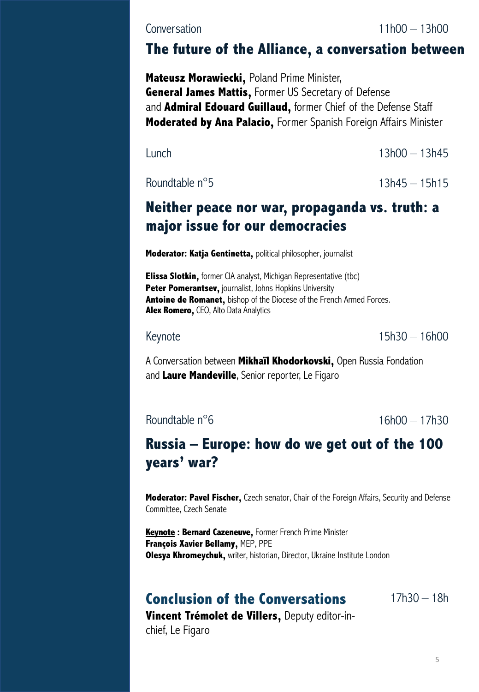#### **Conversation**

11h00 – 13h00

#### **The future of the Alliance, a conversation between**

**Mateusz Morawiecki,** Poland Prime Minister, **General James Mattis,** Former US Secretary of Defense and **Admiral Edouard Guillaud,** former Chief of the Defense Staff **Moderated by Ana Palacio,** Former Spanish Foreign Affairs Minister

Lunch 13h00 – 13h45

Roundtable  $n^{\circ}5$  13h45 – 15h15

#### **Neither peace nor war, propaganda vs. truth: a major issue for our democracies**

**Moderator: Katja Gentinetta,** political philosopher, journalist

**Elissa Slotkin,** former CIA analyst, Michigan Representative (tbc) **Peter Pomerantsev,** journalist, Johns Hopkins University **Antoine de Romanet,** bishop of the Diocese of the French Armed Forces. **Alex Romero,** CEO, Alto Data Analytics

Keynote 15h30 – 16h00

A Conversation between **Mikhaïl Khodorkovski,** Open Russia Fondation and **Laure Mandeville**, Senior reporter, Le Figaro

Roundtable  $n^{\circ}6$  16h00 – 17h30

#### **Russia – Europe: how do we get out of the 100 years' war?**

**Moderator: Pavel Fischer,** Czech senator, Chair of the Foreign Affairs, Security and Defense Committee, Czech Senate

**Keynote : Bernard Cazeneuve,** Former French Prime Minister **François Xavier Bellamy,** MEP, PPE **Olesya Khromeychuk,** writer, historian, Director, Ukraine Institute London

#### **Conclusion of the Conversations**

 $17h30 - 18h$ 

**Vincent Trémolet de Villers,** Deputy editor-inchief, Le Figaro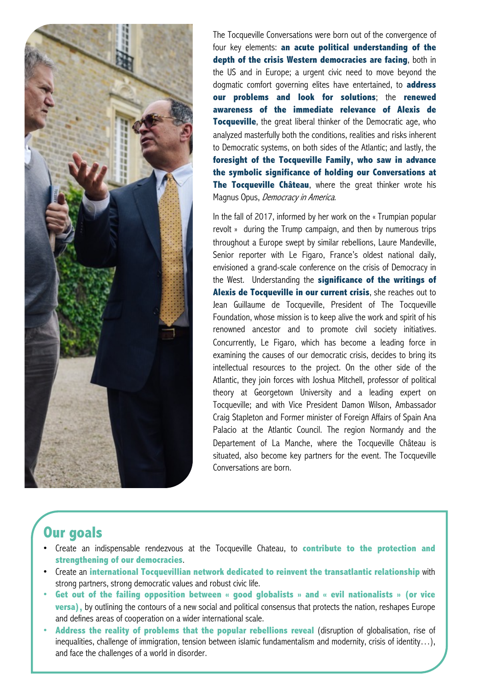

The Tocqueville Conversations were born out of the convergence of four key elements: **an acute political understanding of the depth of the crisis Western democracies are facing**, both in the US and in Europe; a urgent civic need to move beyond the dogmatic comfort governing elites have entertained, to **address our problems and look for solutions**; the **renewed awareness of the immediate relevance of Alexis de Tocqueville**, the great liberal thinker of the Democratic age, who analyzed masterfully both the conditions, realities and risks inherent to Democratic systems, on both sides of the Atlantic; and lastly, the **foresight of the Tocqueville Family, who saw in advance the symbolic significance of holding our Conversations at The Tocqueville Château**, where the great thinker wrote his Magnus Opus, Democracy in America.

In the fall of 2017, informed by her work on the « Trumpian popular revolt » during the Trump campaign, and then by numerous trips throughout a Europe swept by similar rebellions, Laure Mandeville, Senior reporter with Le Figaro, France's oldest national daily, envisioned a grand-scale conference on the crisis of Democracy in the West. Understanding the **significance of the writings of Alexis de Tocqueville in our current crisis**, she reaches out to Jean Guillaume de Tocqueville, President of The Tocqueville Foundation, whose mission is to keep alive the work and spirit of his renowned ancestor and to promote civil society initiatives. Concurrently, Le Figaro, which has become a leading force in examining the causes of our democratic crisis, decides to bring its intellectual resources to the project. On the other side of the Atlantic, they join forces with Joshua Mitchell, professor of political theory at Georgetown University and a leading expert on Tocqueville; and with Vice President Damon Wilson, Ambassador Craig Stapleton and Former minister of Foreign Affairs of Spain Ana Palacio at the Atlantic Council. The region Normandy and the Departement of La Manche, where the Tocqueville Château is situated, also become key partners for the event. The Tocqueville Conversations are born.

#### **Our goals**

- Create an indispensable rendezvous at the Tocqueville Chateau, to **contribute to the protection and strengthening of our democracies**.
- Create an **international Tocquevillian network dedicated to reinvent the transatlantic relationship** with strong partners, strong democratic values and robust civic life.
- **Get out of the failing opposition between « good globalists » and « evil nationalists » (or vice versa)**, by outlining the contours of a new social and political consensus that protects the nation, reshapes Europe and defines areas of cooperation on a wider international scale.
- **Address the reality of problems that the popular rebellions reveal** (disruption of globalisation, rise of inequalities, challenge of immigration, tension between islamic fundamentalism and modernity, crisis of identity…), and face the challenges of a world in disorder.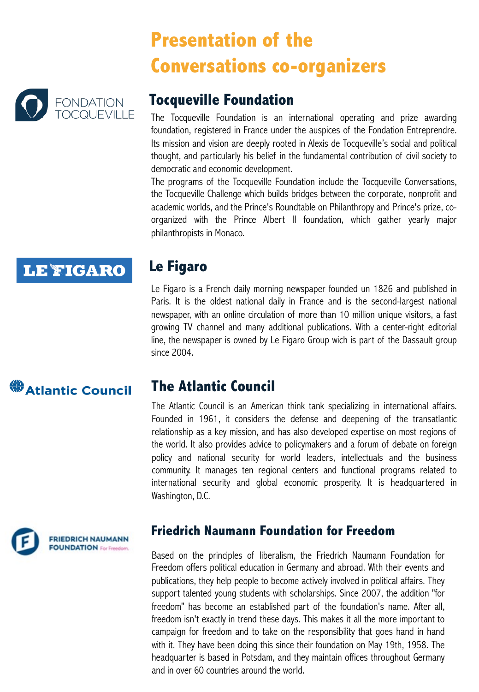## **Presentation of the Conversations co-organizers**



#### **Tocqueville Foundation**

The Tocqueville Foundation is an international operating and prize awarding foundation, registered in France under the auspices of the Fondation Entreprendre. Its mission and vision are deeply rooted in Alexis de Tocqueville's social and political thought, and particularly his belief in the fundamental contribution of civil society to democratic and economic development.

The programs of the Tocqueville Foundation include the Tocqueville Conversations, the Tocqueville Challenge which builds bridges between the corporate, nonprofit and academic worlds, and the Prince's Roundtable on Philanthropy and Prince's prize, coorganized with the Prince Albert II foundation, which gather yearly major philanthropists in Monaco.

### **LE FIGARO**

#### **Le Figaro**

Le Figaro is a French daily morning newspaper founded un 1826 and published in Paris. It is the oldest national daily in France and is the second-largest national newspaper, with an online circulation of more than 10 million unique visitors, a fast growing TV channel and many additional publications. With a center-right editorial line, the newspaper is owned by Le Figaro Group wich is part of the Dassault group since 2004.

### **卷 Atlantic Council**

#### **The Atlantic Council**

The Atlantic Council is an American think tank specializing in international affairs. Founded in 1961, it considers the defense and deepening of the transatlantic relationship as a key mission, and has also developed expertise on most regions of the world. It also provides advice to policymakers and a forum of debate on foreign policy and national security for world leaders, intellectuals and the business community. It manages ten regional centers and functional programs related to international security and global economic prosperity. It is headquartered in Washington, D.C.



#### **Friedrich Naumann Foundation for Freedom**

Based on the principles of liberalism, the Friedrich Naumann Foundation for Freedom offers political education in Germany and abroad. With their events and publications, they help people to become actively involved in political affairs. They support talented young students with scholarships. Since 2007, the addition "for freedom" has become an established part of the foundation's name. After all, freedom isn't exactly in trend these days. This makes it all the more important to campaign for freedom and to take on the responsibility that goes hand in hand with it. They have been doing this since their foundation on May 19th, 1958. The headquarter is based in Potsdam, and they maintain offices throughout Germany and in over 60 countries around the world.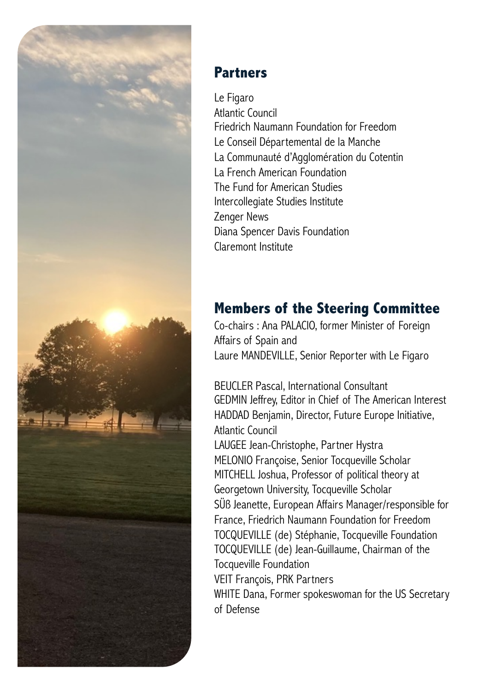

#### **Partners**

Le Figaro Atlantic Council Friedrich Naumann Foundation for Freedom Le Conseil Départemental de la Manche La Communauté d'Agglomération du Cotentin La French American Foundation The Fund for American Studies Intercollegiate Studies Institute Zenger News Diana Spencer Davis Foundation Claremont Institute

### **Members of the Steering Committee**

Co-chairs : Ana PALACIO, former Minister of Foreign Affairs of Spain and Laure MANDEVILLE, Senior Reporter with Le Figaro

BEUCLER Pascal, International Consultant GEDMIN Jeffrey, Editor in Chief of The American Interest HADDAD Benjamin, Director, Future Europe Initiative, Atlantic Council

LAUGEE Jean-Christophe, Partner Hystra MELONIO Françoise, Senior Tocqueville Scholar MITCHELL Joshua, Professor of political theory at Georgetown University, Tocqueville Scholar SÜß Jeanette, European Affairs Manager/responsible for France, Friedrich Naumann Foundation for Freedom TOCQUEVILLE (de) Stéphanie, Tocqueville Foundation TOCQUEVILLE (de) Jean-Guillaume, Chairman of the Tocqueville Foundation VEIT François, PRK Partners WHITE Dana, Former spokeswoman for the US Secretary of Defense